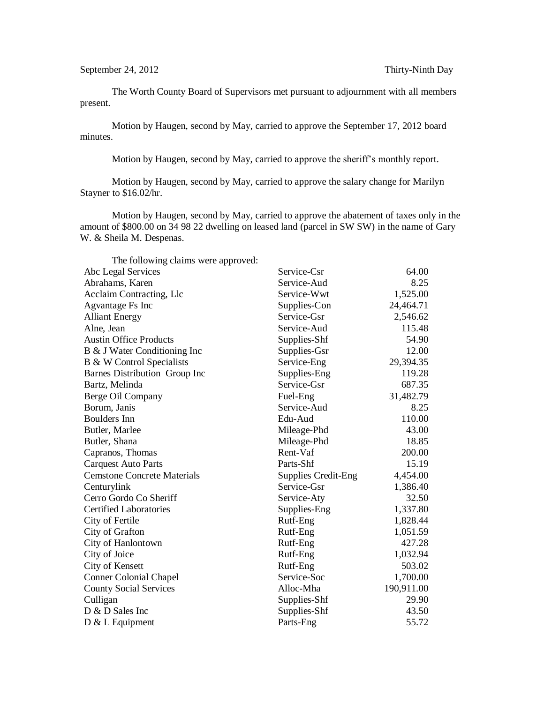The Worth County Board of Supervisors met pursuant to adjournment with all members present.

Motion by Haugen, second by May, carried to approve the September 17, 2012 board minutes.

Motion by Haugen, second by May, carried to approve the sheriff's monthly report.

Motion by Haugen, second by May, carried to approve the salary change for Marilyn Stayner to \$16.02/hr.

Motion by Haugen, second by May, carried to approve the abatement of taxes only in the amount of \$800.00 on 34 98 22 dwelling on leased land (parcel in SW SW) in the name of Gary W. & Sheila M. Despenas.

| The following claims were approved:  |                            |            |
|--------------------------------------|----------------------------|------------|
| Abc Legal Services                   | Service-Csr                | 64.00      |
| Abrahams, Karen                      | Service-Aud                | 8.25       |
| Acclaim Contracting, Llc             | Service-Wwt                | 1,525.00   |
| Agvantage Fs Inc                     | Supplies-Con               | 24,464.71  |
| <b>Alliant Energy</b>                | Service-Gsr                | 2,546.62   |
| Alne, Jean                           | Service-Aud                | 115.48     |
| <b>Austin Office Products</b>        | Supplies-Shf               | 54.90      |
| B & J Water Conditioning Inc         | Supplies-Gsr               | 12.00      |
| <b>B &amp; W Control Specialists</b> | Service-Eng                | 29,394.35  |
| Barnes Distribution Group Inc        | Supplies-Eng               | 119.28     |
| Bartz, Melinda                       | Service-Gsr                | 687.35     |
| Berge Oil Company                    | Fuel-Eng                   | 31,482.79  |
| Borum, Janis                         | Service-Aud                | 8.25       |
| <b>Boulders</b> Inn                  | Edu-Aud                    | 110.00     |
| Butler, Marlee                       | Mileage-Phd                | 43.00      |
| Butler, Shana                        | Mileage-Phd                | 18.85      |
| Capranos, Thomas                     | Rent-Vaf                   | 200.00     |
| <b>Carquest Auto Parts</b>           | Parts-Shf                  | 15.19      |
| <b>Cemstone Concrete Materials</b>   | <b>Supplies Credit-Eng</b> | 4,454.00   |
| Centurylink                          | Service-Gsr                | 1,386.40   |
| Cerro Gordo Co Sheriff               | Service-Aty                | 32.50      |
| <b>Certified Laboratories</b>        | Supplies-Eng               | 1,337.80   |
| City of Fertile                      | Rutf-Eng                   | 1,828.44   |
| City of Grafton                      | Rutf-Eng                   | 1,051.59   |
| City of Hanlontown                   | Rutf-Eng                   | 427.28     |
| City of Joice                        | Rutf-Eng                   | 1,032.94   |
| City of Kensett                      | Rutf-Eng                   | 503.02     |
| <b>Conner Colonial Chapel</b>        | Service-Soc                | 1,700.00   |
| <b>County Social Services</b>        | Alloc-Mha                  | 190,911.00 |
| Culligan                             | Supplies-Shf               | 29.90      |
| D & D Sales Inc                      | Supplies-Shf               | 43.50      |
| $D & L$ Equipment                    | Parts-Eng                  | 55.72      |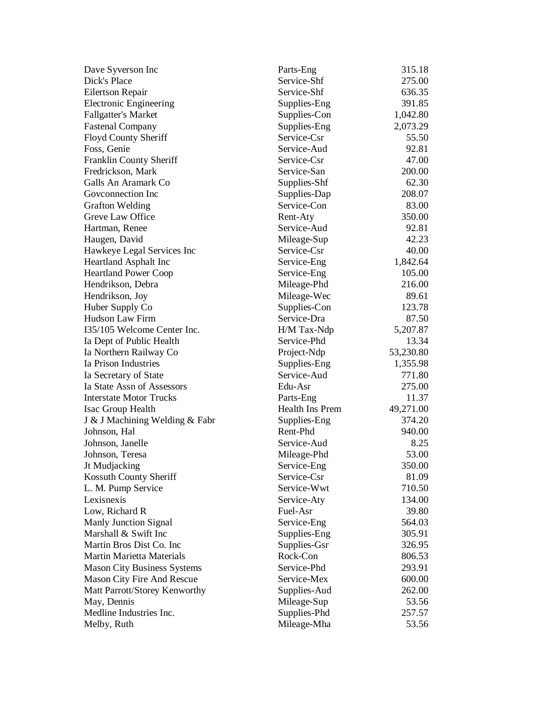| Dave Syverson Inc                  | Parts-Eng       | 315.18    |
|------------------------------------|-----------------|-----------|
| Dick's Place                       | Service-Shf     | 275.00    |
| Eilertson Repair                   | Service-Shf     | 636.35    |
| <b>Electronic Engineering</b>      | Supplies-Eng    | 391.85    |
| <b>Fallgatter's Market</b>         | Supplies-Con    | 1,042.80  |
| <b>Fastenal Company</b>            | Supplies-Eng    | 2,073.29  |
| Floyd County Sheriff               | Service-Csr     | 55.50     |
| Foss, Genie                        | Service-Aud     | 92.81     |
| Franklin County Sheriff            | Service-Csr     | 47.00     |
| Fredrickson, Mark                  | Service-San     | 200.00    |
| Galls An Aramark Co                | Supplies-Shf    | 62.30     |
| Goveonnection Inc                  | Supplies-Dap    | 208.07    |
| <b>Grafton Welding</b>             | Service-Con     | 83.00     |
| Greve Law Office                   | Rent-Aty        | 350.00    |
| Hartman, Renee                     | Service-Aud     | 92.81     |
| Haugen, David                      | Mileage-Sup     | 42.23     |
| Hawkeye Legal Services Inc         | Service-Csr     | 40.00     |
| <b>Heartland Asphalt Inc</b>       | Service-Eng     | 1,842.64  |
| <b>Heartland Power Coop</b>        | Service-Eng     | 105.00    |
| Hendrikson, Debra                  | Mileage-Phd     | 216.00    |
| Hendrikson, Joy                    | Mileage-Wec     | 89.61     |
| Huber Supply Co                    | Supplies-Con    | 123.78    |
| <b>Hudson Law Firm</b>             | Service-Dra     | 87.50     |
| I35/105 Welcome Center Inc.        | H/M Tax-Ndp     | 5,207.87  |
| Ia Dept of Public Health           | Service-Phd     | 13.34     |
| Ia Northern Railway Co             | Project-Ndp     | 53,230.80 |
| Ia Prison Industries               | Supplies-Eng    | 1,355.98  |
| Ia Secretary of State              | Service-Aud     | 771.80    |
| Ia State Assn of Assessors         | Edu-Asr         | 275.00    |
| <b>Interstate Motor Trucks</b>     | Parts-Eng       | 11.37     |
| Isac Group Health                  | Health Ins Prem | 49,271.00 |
| J & J Machining Welding & Fabr     | Supplies-Eng    | 374.20    |
| Johnson, Hal                       | Rent-Phd        | 940.00    |
| Johnson, Janelle                   | Service-Aud     | 8.25      |
| Johnson, Teresa                    | Mileage-Phd     | 53.00     |
| Jt Mudjacking                      | Service-Eng     | 350.00    |
| Kossuth County Sheriff             | Service-Csr     | 81.09     |
| L. M. Pump Service                 | Service-Wwt     | 710.50    |
| Lexisnexis                         | Service-Aty     | 134.00    |
| Low, Richard R                     | Fuel-Asr        | 39.80     |
| Manly Junction Signal              | Service-Eng     | 564.03    |
| Marshall & Swift Inc               | Supplies-Eng    | 305.91    |
| Martin Bros Dist Co. Inc           | Supplies-Gsr    | 326.95    |
| <b>Martin Marietta Materials</b>   | Rock-Con        | 806.53    |
| <b>Mason City Business Systems</b> | Service-Phd     | 293.91    |
| Mason City Fire And Rescue         | Service-Mex     | 600.00    |
| Matt Parrott/Storey Kenworthy      | Supplies-Aud    | 262.00    |
| May, Dennis                        | Mileage-Sup     | 53.56     |
| Medline Industries Inc.            | Supplies-Phd    | 257.57    |
| Melby, Ruth                        | Mileage-Mha     | 53.56     |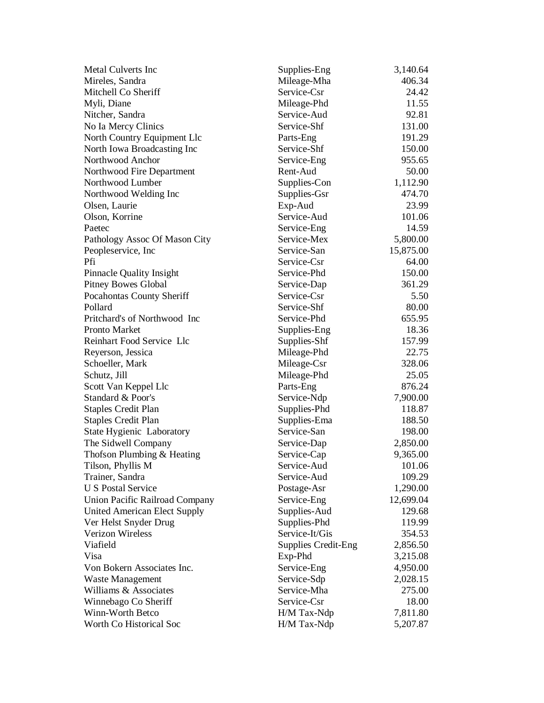| Metal Culverts Inc                  | Supplies-Eng               | 3,140.64  |
|-------------------------------------|----------------------------|-----------|
| Mireles, Sandra                     | Mileage-Mha                | 406.34    |
| Mitchell Co Sheriff                 | Service-Csr                | 24.42     |
| Myli, Diane                         | Mileage-Phd                | 11.55     |
| Nitcher, Sandra                     | Service-Aud                | 92.81     |
| No Ia Mercy Clinics                 | Service-Shf                | 131.00    |
| North Country Equipment Llc         | Parts-Eng                  | 191.29    |
| North Iowa Broadcasting Inc         | Service-Shf                | 150.00    |
| Northwood Anchor                    | Service-Eng                | 955.65    |
| Northwood Fire Department           | Rent-Aud                   | 50.00     |
| Northwood Lumber                    | Supplies-Con               | 1,112.90  |
| Northwood Welding Inc               | Supplies-Gsr               | 474.70    |
| Olsen, Laurie                       | Exp-Aud                    | 23.99     |
| Olson, Korrine                      | Service-Aud                | 101.06    |
| Paetec                              | Service-Eng                | 14.59     |
| Pathology Assoc Of Mason City       | Service-Mex                | 5,800.00  |
| Peopleservice, Inc.                 | Service-San                | 15,875.00 |
| Pfi                                 | Service-Csr                | 64.00     |
| <b>Pinnacle Quality Insight</b>     | Service-Phd                | 150.00    |
| <b>Pitney Bowes Global</b>          | Service-Dap                | 361.29    |
| Pocahontas County Sheriff           | Service-Csr                | 5.50      |
| Pollard                             | Service-Shf                | 80.00     |
| Pritchard's of Northwood Inc        | Service-Phd                | 655.95    |
| <b>Pronto Market</b>                | Supplies-Eng               | 18.36     |
| Reinhart Food Service Llc           | Supplies-Shf               | 157.99    |
| Reyerson, Jessica                   | Mileage-Phd                | 22.75     |
| Schoeller, Mark                     | Mileage-Csr                | 328.06    |
| Schutz, Jill                        | Mileage-Phd                | 25.05     |
| Scott Van Keppel Llc                | Parts-Eng                  | 876.24    |
| Standard & Poor's                   | Service-Ndp                | 7,900.00  |
| <b>Staples Credit Plan</b>          | Supplies-Phd               | 118.87    |
| <b>Staples Credit Plan</b>          | Supplies-Ema               | 188.50    |
| State Hygienic Laboratory           | Service-San                | 198.00    |
| The Sidwell Company                 | Service-Dap                | 2,850.00  |
| Thofson Plumbing & Heating          | Service-Cap                | 9,365.00  |
| Tilson, Phyllis M                   | Service-Aud                | 101.06    |
| Trainer, Sandra                     | Service-Aud                | 109.29    |
| <b>U S Postal Service</b>           | Postage-Asr                | 1,290.00  |
| Union Pacific Railroad Company      | Service-Eng                | 12,699.04 |
| <b>United American Elect Supply</b> | Supplies-Aud               | 129.68    |
| Ver Helst Snyder Drug               | Supplies-Phd               | 119.99    |
| <b>Verizon Wireless</b>             | Service-It/Gis             | 354.53    |
| Viafield                            | <b>Supplies Credit-Eng</b> | 2,856.50  |
| Visa                                | Exp-Phd                    | 3,215.08  |
| Von Bokern Associates Inc.          | Service-Eng                | 4,950.00  |
| <b>Waste Management</b>             | Service-Sdp                | 2,028.15  |
| Williams & Associates               | Service-Mha                | 275.00    |
| Winnebago Co Sheriff                | Service-Csr                | 18.00     |
| Winn-Worth Betco                    | H/M Tax-Ndp                | 7,811.80  |
| Worth Co Historical Soc             | H/M Tax-Ndp                | 5,207.87  |